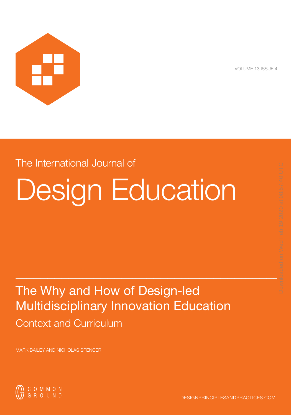

VOLUME 13 ISSUE 4

# The International Journal of

# Design Education

# The Why and How of Design-led Multidisciplinary Innovation Education Context and Curriculum

 $_\perp$  , and the set of the set of the set of the set of the set of the set of the set of the set of the set of the set of the set of the set of the set of the set of the set of the set of the set of the set of the set of

MARK BAILEY AND NICHOLAS SPENCER

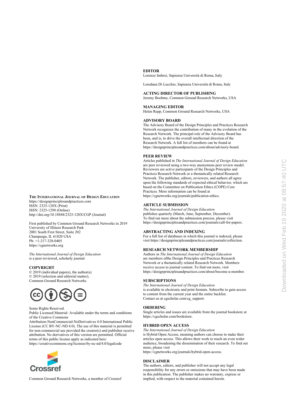#### **EDITOR**

Lorenzo Imbesi, Sapienza Università di Roma, Italy

Loredana Di Lucchio, Sapienza Università di Roma, Italy

#### **ACTING DIRECTOR OF PUBLISHING**

Jeremy Boehme, Common Ground Research Networks, USA

#### **MANAGING EDITOR**

Helen Repp, Common Ground Research Networks, USA

#### **ADVISORY BOARD**

The Advisory Board of the Design Principles and Practices Research Network recognizes the contribution of many in the evolution of the Research Network. The principal role of the Advisory Board has been, and is, to drive the overall intellectual direction of the Research Network. A full list of members can be found at https://designprinciplesandpractices.com/about/advisory-board.

#### **PEER REVIEW**

Articles published in *The International Journal of Design Education* are peer reviewed using a two-way anonymous peer review model. Reviewers are active participants of the Design Principles and Practices Research Network or a thematically related Research Network. The publisher, editors, reviewers, and authors all agree upon the following standards of expected ethical behavior, which are based on the Committee on Publication Ethics (COPE) Core Practices. More information can be found at [https://cgnetworks.org/journals/publication-ethics.](https://cgnetworks.org/journals/publication-ethics)

#### **ARTICLE SUBMISSION**

*The International Journal of Design Education*  publishes quarterly (March, June, September, December). To find out more about the submission process, please visit https://designprinciplesandpractices.com/journals/call-for-papers.

#### **ABSTRACTING AND INDEXING**

For a full list of databases in which this journal is indexed, please visit https://designprinciplesandpractices.com/journals/collection.

#### **RESEARCH NETWORK MEMBERSHIP**

Authors in *The International Journal of Design Education*  are members ofthe Design Principles and Practices Research Network or a thematically related Research Network. Members receive access to journal content. To find out more, visit https://designprinciplesandpractices.com/about/become-a-member.

#### **SUBSCRIPTIONS**

*The International Journal of Design Education* is available in electronic and print formats. Subscribe to gain access to content from the current year and the entire backlist. Contact us at [cgscholar.com/cg\\_support](https://cgscholar.com/cg_support/en/docs/58).

#### **ORDERING**

Single articles and issues are available from the journal bookstore at https://cgscholar.com/bookstore.

#### **HYBRID OPEN ACCESS**

*The International Journal of Design Education* 

is Hybrid Open Access, meaning authors can choose to make their articles open access. This allows their work to reach an even wider audience, broadening the dissemination of their research. To find out more, please visit

<https://cgnetworks.org/journals/hybrid-open-access>.

#### **DISCLAIMER**

The authors, editors, and publisher will not accept any legal responsibility for any errors or omissions that may have been made in this publication. The publisher makes no warranty, express or implied, with respect to the material contained herein.

#### **THE INTERNATIONAL JOURNAL OF DESIGN EDUCATION** https://designprinciplesandpractices.com ISSN: 2325-128X (Print) ISSN: 2325-1298 (Online) http://doi.org/10.18848/2325-128X/CGP (Journal)

First published by Common Ground Research Networks in 2019 University of Illinois Research Park 2001 South First Street, Suite 202 Champaign, IL 61820 USA

Ph: +1-217-328-0405 [https://cgnetworks.org](http://cgnetworks.org/)

*The International Journal of Design Education*  is a peer-reviewed, scholarly journal.

#### **COPYRIGHT**

© 2019 (individual papers), the author(s) © 2019 (selection and editorial matter), Common Ground Research Networks



#### Some Rights Reserved.

Public Licensed Material: Available under the terms and conditions of the Creative Commons

Attribution-NonCommercial-NoDerivatives 4.0 International Public License (CC BY-NC-ND 4.0). The use of this material is permitted for non-commercial use provided the creator(s) and publisher receive attribution. No derivatives of this version are permitted. Official terms of this public license apply as indicated here:

https://creativecommons.org/licenses/by-nc-nd/4.0/legalcode



Common Ground Research Networks, a member of Crossref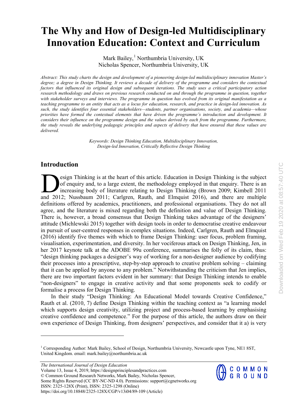# **The Why and How of Design-led Multidisciplinary Innovation Education: Context and Curriculum**

Mark Bailey, [1](#page-2-0) Northumbria University, UK Nicholas Spencer, Northumbria University, UK

*Abstract: This study charts the design and development of a pioneering design-led multidisciplinary innovation Master's degree; a degree in Design Thinking. It reviews a decade of delivery of the programme and considers the contextual factors that influenced its original design and subsequent iterations. The study uses a critical participatory action research methodology and draws on previous research conducted on and through the programme in question, together* with stakeholder surveys and interviews. The programme in question has evolved from its original manifestation as a teaching programme to an entity that acts as a locus for education, research, and practice in design-led innovation. As *such, the study identifies four essential stakeholders—students, partner organisations, society, and academia—whose priorities have formed the contextual elements that have driven the programme's introduction and development. It* considers their influence on the programme design and the values derived by each from the programme. Furthermore, the study reveals the underlying pedagogic principles and aspects of delivery that have ensured that these values are *delivered.*

> *Keywords: Design Thinking Education, Multidisciplinary Innovation, Design-led Innovation, Critically Reflective Design Thinking*

# **Introduction**

esign Thinking is at the heart of this article. Education in Design Thinking is the subject of enquiry and, to a large extent, the methodology employed in that enquiry. There is an increasing body of literature relating to Design Thinking (Brown 2009; Kimbell 2011 and 2012; Nussbaum 2011; Carlgren, Rauth, and Elmquist 2016), and there are multiple definitions offered by academics, practitioners, and professional organisations. They do not all agree, and the literature is mixed regarding both the definition and value of Design Thinking. There is, however, a broad consensus that Design Thinking takes advantage of the designers' attitude (Michlewski 2015) together with design tools in order to democratise creative endeavour in pursuit of user-centred responses in complex situations. Indeed, Carlgren, Rauth and Elmquist (2016) identify five themes with which to frame Design Thinking: user focus, problem framing, visualisation, experimentation, and diversity. In her vociferous attack on Design Thinking, Jen, in her 2017 keynote talk at the ADOBE 99u conference, summarises the folly of its claim, thus: "design thinking packages a designer's way of working for a non-designer audience by codifying their processes into a prescriptive, step-by-step approach to creative problem solving – claiming that it can be applied by anyone to any problem." Notwithstanding the criticism that Jen implies, there are two important factors evident in her summary: that Design Thinking intends to enable "non-designers" to engage in creative activity and that some proponents seek to codify or formalise a process for Design Thinking.

In their study "Design Thinking: An Educational Model towards Creative Confidence," Rauth et al. (2010, 7) define Design Thinking within the teaching context as "a learning model which supports design creativity, utilizing project and process-based learning by emphasising creative confidence and competence." For the purpose of this article, the authors draw on their own experience of Design Thinking, from designers' perspectives, and consider that it a) is very

*The International Journal of Design Education*  Volume 13, Issue 4, 2019, https://designprinciplesandpractices.com © Common Ground Research Networks, Mark Bailey, Nicholas Spencer, Some Rights Reserved (CC BY-NC-ND 4.0). Permissions: support@cgnetworks.org ISSN: 2325-128X (Print), ISSN: 2325-1298 (Online) https://doi.org/10.18848/2325-128X/CGP/v13i04/89-109 (Article)

COMMON<br>GROUND

<span id="page-2-0"></span><sup>&</sup>lt;sup>1</sup> Corresponding Author: Mark Bailey, School of Design, Northumbria University, Newcastle upon Tyne, NE1 8ST, United Kingdom. email: mark.bailey@northumbria.ac.uk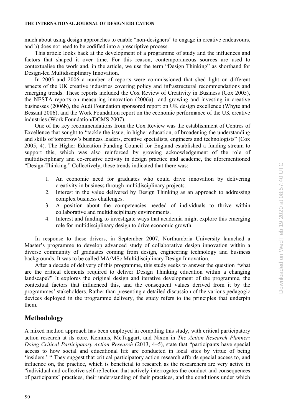much about using design approaches to enable "non-designers" to engage in creative endeavours, and b) does not need to be codified into a prescriptive process.

This article looks back at the development of a programme of study and the influences and factors that shaped it over time. For this reason, contemporaneous sources are used to contextualise the work and, in the article, we use the term "Design Thinking" as shorthand for Design-led Multidisciplinary Innovation.

In 2005 and 2006 a number of reports were commissioned that shed light on different aspects of the UK creative industries covering policy and infrastructural recommendations and emerging trends. These reports included the Cox Review of Creativity in Business (Cox 2005), the NESTA reports on measuring innovation (2006a) and growing and investing in creative businesses (2006b), the Audi Foundation sponsored report on UK design excellence (Whyte and Bessant 2006), and the Work Foundation report on the economic performance of the UK creative industries (Work Foundation/DCMS 2007).

One of the key recommendations from the Cox Review was the establishment of Centres of Excellence that sought to "tackle the issue, in higher education, of broadening the understanding and skills of tomorrow's business leaders, creative specialists, engineers and technologists" (Cox 2005, 4). The Higher Education Funding Council for England established a funding stream to support this, which was also reinforced by growing acknowledgement of the role of multidisciplinary and co-creative activity in design practice and academe, the aforementioned "Design-Thinking." Collectively, these trends indicated that there was:

- 1. An economic need for graduates who could drive innovation by delivering creativity in business through multidisciplinary projects.
- 2. Interest in the value delivered by Design Thinking as an approach to addressing complex business challenges.
- 3. A position about the competencies needed of individuals to thrive within collaborative and multidisciplinary environments.
- 4. Interest and funding to investigate ways that academia might explore this emerging role for multidisciplinary design to drive economic growth.

In response to these drivers, in September 2007, Northumbria University launched a Master's programme to develop advanced study of collaborative design innovation within a diverse community of graduates coming from design, engineering technology and business backgrounds. It was to be called MA/MSc Multidisciplinary Design Innovation.

After a decade of delivery of this programme, this study seeks to answer the question "what are the critical elements required to deliver Design Thinking education within a changing landscape?" It explores the original design and iterative development of the programme, the contextual factors that influenced this, and the consequent values derived from it by the programmes' stakeholders. Rather than presenting a detailed discussion of the various pedagogic devices deployed in the programme delivery, the study refers to the principles that underpin them.

# **Methodology**

A mixed method approach has been employed in compiling this study, with critical participatory action research at its core. Kemmis, McTaggart, and Nixon in *The Action Research Planner: Doing Critical Participatory Action Research* (2013, 4–5), state that "participants have special access to how social and educational life are conducted in local sites by virtue of being 'insiders.' " They suggest that critical participatory action research affords special access to, and influence on, the practice, which is beneficial to research as the researchers are very active in "individual and collective self-reflection that actively interrogates the conduct and consequences of participants' practices, their understanding of their practices, and the conditions under which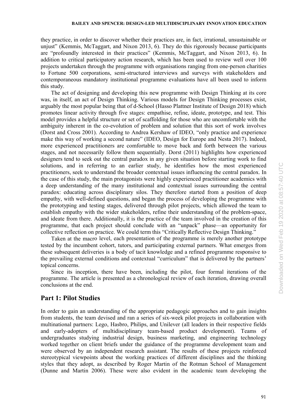#### **BAILEY AND SPENCER: DESIGN-LED MULTIDISCIPLINARY INNOVATION EDUCATION**

they practice, in order to discover whether their practices are, in fact, irrational, unsustainable or unjust" (Kemmis, McTaggart, and Nixon 2013, 6). They do this rigorously because participants are "profoundly interested in their practices" (Kemmis, McTaggart, and Nixon 2013, 6). In addition to critical participatory action research, which has been used to review well over 100 projects undertaken through the programme with organisations ranging from one-person charities to Fortune 500 corporations, semi-structured interviews and surveys with stakeholders and contemporaneous mandatory institutional programme evaluations have all been used to inform this study.

The act of designing and developing this new programme with Design Thinking at its core was, in itself, an act of Design Thinking. Various models for Design Thinking processes exist, arguably the most popular being that of d-School (Hasso Plattner Institute of Design 2018) which promotes linear activity through five stages: empathise, refine, ideate, prototype, and test. This model provides a helpful structure or set of scaffolding for those who are uncomfortable with the ambiguity inherent in the co-evolution of problem and solution that this sort of work involves (Dorst and Cross 2001). According to Andrea Kershaw of IDEO, "only practice and experience make this way of working a second nature" (IDEO, Design for Europe and Nesta 2017). Indeed, more experienced practitioners are comfortable to move back and forth between the various stages, and not necessarily follow them sequentially. Dorst (2011) highlights how experienced designers tend to seek out the central paradox in any given situation before starting work to find solutions, and in referring to an earlier study, he identifies how the most experienced practitioners, seek to understand the broader contextual issues influencing the central paradox. In the case of this study, the main protagonists were highly experienced practitioner academics with a deep understanding of the many institutional and contextual issues surrounding the central paradox: educating across disciplinary silos. They therefore started from a position of deep empathy, with well-defined questions, and began the process of developing the programme with the prototyping and testing stages, delivered through pilot projects, which allowed the team to establish empathy with the wider stakeholders, refine their understanding of the problem-space, and ideate from there. Additionally, it is the practice of the team involved in the creation of this programme, that each project should conclude with an "unpack" phase—an opportunity for collective reflection on practice. We could term this "Critically Reflective Design Thinking."

Taken at the macro level, each presentation of the programme is merely another prototype tested by the incumbent cohort, tutors, and participating external partners. What emerges from these subsequent deliveries is a body of tacit knowledge and a refined programme responsive to the prevailing external conditions and contextual "curriculum" that is delivered by the partners' topical concerns.

Since its inception, there have been, including the pilot, four formal iterations of the programme. The article is presented as a chronological review of each iteration, drawing overall conclusions at the end.

# **Part 1: Pilot Studies**

In order to gain an understanding of the appropriate pedagogic approaches and to gain insights from students, the team devised and ran a series of six-week pilot projects in collaboration with multinational partners: Lego, Hasbro, Philips, and Unilever (all leaders in their respective fields and early-adopters of multidisciplinary team-based product development). Teams of undergraduates studying industrial design, business marketing, and engineering technology worked together on client briefs under the guidance of the programme development team and were observed by an independent research assistant. The results of these projects reinforced stereotypical viewpoints about the working practices of different disciplines and the thinking styles that they adopt, as described by Roger Martin of the Rotman School of Management (Dunne and Martin 2006). These were also evident in the academic team developing the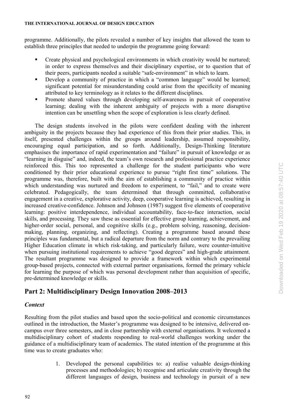programme. Additionally, the pilots revealed a number of key insights that allowed the team to establish three principles that needed to underpin the programme going forward:

- **•** Create physical and psychological environments in which creativity would be nurtured; in order to express themselves and their disciplinary expertise, or to question that of their peers, participants needed a suitable "safe-environment" in which to learn.
- Develop a community of practice in which a "common language" would be learned; significant potential for misunderstanding could arise from the specificity of meaning attributed to key terminology as it relates to the different disciplines.
- Promote shared values through developing self-awareness in pursuit of cooperative learning; dealing with the inherent ambiguity of projects with a more disruptive intention can be unsettling when the scope of exploration is less clearly defined.

The design students involved in the pilots were confident dealing with the inherent ambiguity in the projects because they had experience of this from their prior studies. This, in itself, presented challenges within the groups around leadership, assumed responsibility, encouraging equal participation, and so forth. Additionally, Design-Thinking literature emphasises the importance of rapid experimentation and "failure" in pursuit of knowledge or as "learning in disguise" and, indeed, the team's own research and professional practice experience reinforced this. This too represented a challenge for the student participants who were conditioned by their prior educational experience to pursue "right first time" solutions. The programme was, therefore, built with the aim of establishing a community of practice within which understanding was nurtured and freedom to experiment, to "fail," and to create were celebrated. Pedagogically, the team determined that through committed, collaborative engagement in a creative, explorative activity, deep, cooperative learning is achieved, resulting in increased creative-confidence. Johnson and Johnson (1987) suggest five elements of cooperative learning: positive interdependence, individual accountability, face-to-face interaction, social skills, and processing. They saw these as essential for effective group learning, achievement, and higher-order social, personal, and cognitive skills (e.g., problem solving, reasoning, decisionmaking, planning, organizing, and reflecting). Creating a programme based around these principles was fundamental, but a radical departure from the norm and contrary to the prevailing Higher Education climate in which risk-taking, and particularly failure, were counter-intuitive when pursuing institutional requirements to achieve "good degrees" and high-grade attainment. The resultant programme was designed to provide a framework within which experimental group-based projects, connected with external partner organisations, formed the primary vehicle for learning the purpose of which was personal development rather than acquisition of specific, pre-determined knowledge or skills.

# **Part 2: Multidisciplinary Design Innovation 2008–2013**

# *Context*

Resulting from the pilot studies and based upon the socio-political and economic circumstances outlined in the introduction, the Master's programme was designed to be intensive, delivered oncampus over three semesters, and in close partnership with external organisations. It welcomed a multidisciplinary cohort of students responding to real-world challenges working under the guidance of a multidisciplinary team of academics. The stated intention of the programme at this time was to create graduates who:

> 1. Developed the personal capabilities to: a) realise valuable design-thinking processes and methodologies; b) recognise and articulate creativity through the different languages of design, business and technology in pursuit of a new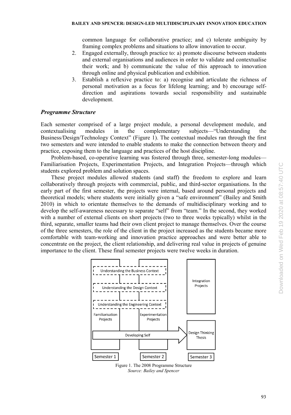common language for collaborative practice; and c) tolerate ambiguity by framing complex problems and situations to allow innovation to occur.

- 2. Engaged externally, through practice to: a) promote discourse between students and external organisations and audiences in order to validate and contextualise their work; and b) communicate the value of this approach to innovation through online and physical publication and exhibition.
- 3. Establish a reflexive practice to: a) recognise and articulate the richness of personal motivation as a focus for lifelong learning; and b) encourage selfdirection and aspirations towards social responsibility and sustainable development.

# *Programme Structure*

Each semester comprised of a large project module, a personal development module, and contextualising modules in the complementary subjects—"Understanding the Business/Design/Technology Context" (Figure 1). The contextual modules ran through the first two semesters and were intended to enable students to make the connection between theory and practice, exposing them to the language and practices of the host discipline.

Problem-based, co-operative learning was fostered through three, semester-long modules— Familiarisation Projects, Experimentation Projects, and Integration Projects—through which students explored problem and solution spaces.

These project modules allowed students (and staff) the freedom to explore and learn collaboratively through projects with commercial, public, and third-sector organisations. In the early part of the first semester, the projects were internal, based around personal projects and theoretical models; where students were initially given a "safe environment" (Bailey and Smith 2010) in which to orientate themselves to the demands of multidisciplinary working and to develop the self-awareness necessary to separate "self" from "team." In the second, they worked with a number of external clients on short projects (two to three weeks typically) whilst in the third, separate, smaller teams had their own client project to manage themselves. Over the course of the three semesters, the role of the client in the project increased as the students became more comfortable with team-working and innovation practice approaches and were better able to concentrate on the project, the client relationship, and delivering real value in projects of genuine importance to the client. These final semester projects were twelve weeks in duration.



Figure 1. The 2008 Programme Structure *Source: Bailey and Spencer*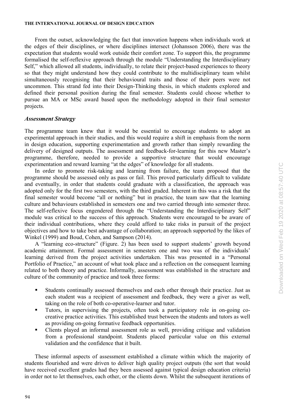From the outset, acknowledging the fact that innovation happens when individuals work at the edges of their disciplines, or where disciplines intersect (Johansson 2006), there was the expectation that students would work outside their comfort zone. To support this, the programme formalised the self-reflexive approach through the module "Understanding the Interdisciplinary Self," which allowed all students, individually, to relate their project-based experiences to theory so that they might understand how they could contribute to the multidisciplinary team whilst simultaneously recognising that their behavioural traits and those of their peers were not uncommon. This strand fed into their Design-Thinking thesis, in which students explored and defined their personal position during the final semester. Students could choose whether to pursue an MA or MSc award based upon the methodology adopted in their final semester projects.

#### *Assessment Strategy*

The programme team knew that it would be essential to encourage students to adopt an experimental approach in their studies, and this would require a shift in emphasis from the norm in design education, supporting experimentation and growth rather than simply rewarding the delivery of designed outputs. The assessment and feedback-for-learning for this new Master's programme, therefore, needed to provide a supportive structure that would encourage experimentation and reward learning "at the edges" of knowledge for all students.

In order to promote risk-taking and learning from failure, the team proposed that the programme should be assessed only as pass or fail. This proved particularly difficult to validate and eventually, in order that students could graduate with a classification, the approach was adopted only for the first two semesters, with the third graded. Inherent in this was a risk that the final semester would become "all or nothing" but in practice, the team saw that the learning culture and behaviours established in semesters one and two carried through into semester three. The self-reflexive focus engendered through the "Understanding the Interdisciplinary Self" module was critical to the success of this approach. Students were encouraged to be aware of their individual contributions, where they could afford to take risks in pursuit of the project objectives and how to take best advantage of collaboration; an approach supported by the likes of Winkel (1999) and Boud, Cohen, and Sampson (2014).

A "learning eco-structure" (Figure. 2) has been used to support students' growth beyond academic attainment. Formal assessment in semesters one and two was of the individuals' learning derived from the project activities undertaken. This was presented in a "Personal Portfolio of Practice," an account of what took place and a reflection on the consequent learning related to both theory and practice. Informally, assessment was established in the structure and culture of the community of practice and took three forms:

- Students continually assessed themselves and each other through their practice. Just as each student was a recipient of assessment and feedback, they were a giver as well, taking on the role of both co-operative-learner and tutor.
- Tutors, in supervising the projects, often took a participatory role in on-going cocreative practice activities. This established trust between the students and tutors as well as providing on-going formative feedback opportunities.
- Clients played an informal assessment role as well, providing critique and validation from a professional standpoint. Students placed particular value on this external validation and the confidence that it built.

These informal aspects of assessment established a climate within which the majority of students flourished and were driven to deliver high quality project outputs (the sort that would have received excellent grades had they been assessed against typical design education criteria) in order not to let themselves, each other, or the clients down. Whilst the subsequent iterations of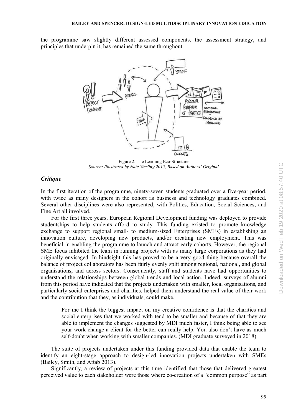the programme saw slightly different assessed components, the assessment strategy, and principles that underpin it, has remained the same throughout.



Figure 2: The Learning Eco-Structure *Source: Illustrated by Nate Sterling 2015, Based on Authors' Original*

# *Critique*

In the first iteration of the programme, ninety-seven students graduated over a five-year period, with twice as many designers in the cohort as business and technology graduates combined. Several other disciplines were also represented, with Politics, Education, Social Sciences, and Fine Art all involved.

For the first three years, European Regional Development funding was deployed to provide studentships to help students afford to study. This funding existed to promote knowledge exchange to support regional small- to medium-sized Enterprises (SMEs) in establishing an innovation culture, developing new products, and/or creating new employment. This was beneficial in enabling the programme to launch and attract early cohorts. However, the regional SME focus inhibited the team in running projects with as many large corporations as they had originally envisaged. In hindsight this has proved to be a very good thing because overall the balance of project collaborators has been fairly evenly split among regional, national, and global organisations, and across sectors. Consequently, staff and students have had opportunities to understand the relationships between global trends and local action. Indeed, surveys of alumni from this period have indicated that the projects undertaken with smaller, local organisations, and particularly social enterprises and charities, helped them understand the real value of their work and the contribution that they, as individuals, could make.

For me I think the biggest impact on my creative confidence is that the charities and social enterprises that we worked with tend to be smaller and because of that they are able to implement the changes suggested by MDI much faster, I think being able to see your work change a client for the better can really help. You also don't have as much self-doubt when working with smaller companies. (MDI graduate surveyed in 2018)

The suite of projects undertaken under this funding provided data that enable the team to identify an eight-stage approach to design-led innovation projects undertaken with SMEs (Bailey, Smith, and Aftab 2013).

Significantly, a review of projects at this time identified that those that delivered greatest perceived value to each stakeholder were those where co-creation of a "common purpose" as part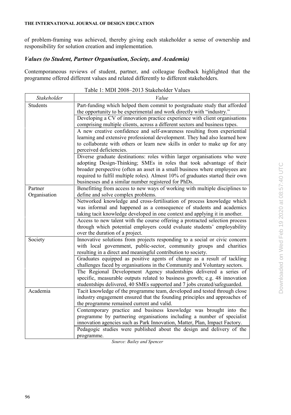of problem-framing was achieved, thereby giving each stakeholder a sense of ownership and responsibility for solution creation and implementation.

# *Values (to Student, Partner Organisation, Society, and Academia)*

Contemporaneous reviews of student, partner, and colleague feedback highlighted that the programme offered different values and related differently to different stakeholders.

| Stakeholder  | Value                                                                                                                                                                                                                |
|--------------|----------------------------------------------------------------------------------------------------------------------------------------------------------------------------------------------------------------------|
| Students     | Part-funding which helped them commit to postgraduate study that afforded<br>the opportunity to be experimental and work directly with "industry."                                                                   |
|              | Developing a CV of innovation practice experience with client organisations<br>comprising multiple clients, across a different sectors and business types.                                                           |
|              | A new creative confidence and self-awareness resulting from experiential                                                                                                                                             |
|              | learning and extensive professional development. They had also learned how<br>to collaborate with others or learn new skills in order to make up for any                                                             |
|              | perceived deficiencies.                                                                                                                                                                                              |
|              | Diverse graduate destinations: roles within larger organisations who were<br>adopting Design-Thinking; SMEs in roles that took advantage of their                                                                    |
|              | broader perspective (often an asset in a small business where employees are<br>required to fulfil multiple roles). Almost 10% of graduates started their own<br>businesses and a similar number registered for PhDs. |
| Partner      | Benefitting from access to new ways of working with multiple disciplines to                                                                                                                                          |
| Organisation | define and solve complex problems.                                                                                                                                                                                   |
|              | Networked knowledge and cross-fertilisation of process knowledge which<br>was informal and happened as a consequence of students and academics                                                                       |
|              | taking tacit knowledge developed in one context and applying it in another.                                                                                                                                          |
|              | Access to new talent with the course offering a protracted selection process                                                                                                                                         |
|              | through which potential employers could evaluate students' employability<br>over the duration of a project.                                                                                                          |
| Society      | Innovative solutions from projects responding to a social or civic concern                                                                                                                                           |
|              | with local government, public-sector, community groups and charities<br>resulting in a direct and meaningful contribution to society.                                                                                |
|              | Graduates equipped as positive agents of change as a result of tackling                                                                                                                                              |
|              | challenges faced by organisations in the Community and Voluntary sectors.                                                                                                                                            |
|              | The Regional Development Agency studentships delivered a series of                                                                                                                                                   |
|              | specific, measurable outputs related to business growth; e.g. 48 innovation<br>studentships delivered, 40 SMEs supported and 7 jobs created/safeguarded.                                                             |
| Academia     | Tacit knowledge of the programme team, developed and tested through close                                                                                                                                            |
|              | industry engagement ensured that the founding principles and approaches of                                                                                                                                           |
|              | the programme remained current and valid.                                                                                                                                                                            |
|              | Contemporary practice and business knowledge was brought into the                                                                                                                                                    |
|              | programme by partnering organisations including a number of specialist                                                                                                                                               |
|              | innovation agencies such as Park Innovation, Matter, Plan, Impact Factory.                                                                                                                                           |
|              | Pedagogic studies were published about the design and delivery of the<br>programme.                                                                                                                                  |

| Table 1: MDI 2008-2013 Stakeholder Values |
|-------------------------------------------|
|-------------------------------------------|

*Source: Bailey and Spencer*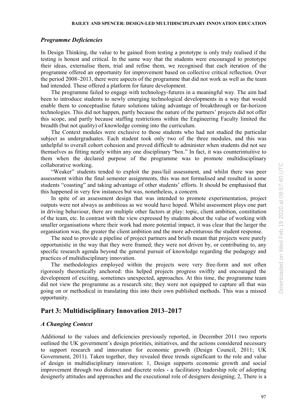# *Programme Deficiencies*

In Design Thinking, the value to be gained from testing a prototype is only truly realised if the testing is honest and critical. In the same way that the students were encouraged to prototype their ideas, externalise them, trial and refine them, we recognised that each iteration of the programme offered an opportunity for improvement based on collective critical reflection. Over the period 2008–2013, there were aspects of the programme that did not work as well as the team had intended. These offered a platform for future development.

The programme failed to engage with technology-futures in a meaningful way. The aim had been to introduce students to newly emerging technological developments in a way that would enable them to conceptualise future solutions taking advantage of breakthrough or far-horizon technologies. This did not happen, partly because the nature of the partners' projects did not offer this scope, and partly because staffing restrictions within the Engineering Faculty limited the breadth (but not quality) of knowledge coming into the curriculum.

The Context modules were exclusive to those students who had not studied the particular subject as undergraduates. Each student took only two of the three modules, and this was unhelpful to overall cohort cohesion and proved difficult to administer when students did not see themselves as fitting neatly within any one disciplinary "box." In fact, it was counterintuitive to them when the declared purpose of the programme was to promote multidisciplinary collaborative working.

"Weaker" students tended to exploit the pass/fail assessment, and whilst there was peer assessment within the final semester assignments, this was not formalised and resulted in some students "coasting" and taking advantage of other students' efforts. It should be emphasised that this happened in very few instances but was, nonetheless, a concern.

In spite of an assessment design that was intended to promote experimentation, project outputs were not always as ambitious as we would have hoped. Whilst assessment plays one part in driving behaviour, there are multiple other factors at play: topic, client ambition, constitution of the team, etc. In contrast with the view expressed by students about the value of working with smaller organisations where their work had more potential impact, it was clear that the larger the organisation was, the greater the client ambition and the more adventurous the student response.

The need to provide a pipeline of project partners and briefs meant that projects were purely opportunistic in the way that they were framed; they were not driven by, or contributing to, any specific research agenda beyond the general pursuit of knowledge regarding the pedagogy and practices of multidisciplinary innovation.

The methodologies employed within the projects were very free-form and not often rigorously theoretically anchored: this helped projects progress swiftly and encouraged the development of exciting, sometimes unexpected, approaches. At this time, the programme team did not view the programme as a research site; they were not equipped to capture all that was going on or methodical in translating this into their own published methods. This was a missed opportunity.

# **Part 3: Multidisciplinary Innovation 2013–2017**

# *A Changing Context*

Additional to the values and deficiencies previously reported, in December 2011 two reports outlined the UK government's design priorities, initiatives, and the actions considered necessary to support research and innovation for economic growth (Design Council, 2011; UK Government, 2011). Taken together, they revealed three trends significant to the role and value of design in multidisciplinary innovation: 1, Design supports economic growth and social improvement through two distinct and discrete roles - a facilitatory leadership role of adopting designerly attitudes and approaches and the executional role of designers designing; 2, There is a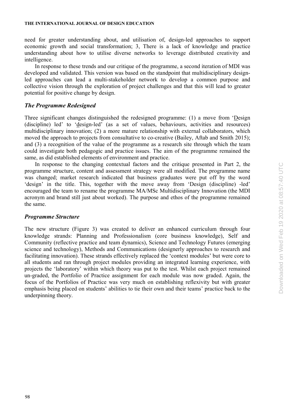need for greater understanding about, and utilisation of, design-led approaches to support economic growth and social transformation; 3, There is a lack of knowledge and practice understanding about how to utilise diverse networks to leverage distributed creativity and intelligence.

In response to these trends and our critique of the programme, a second iteration of MDI was developed and validated. This version was based on the standpoint that multidisciplinary designled approaches can lead a multi-stakeholder network to develop a common purpose and collective vision through the exploration of project challenges and that this will lead to greater potential for positive change by design.

## *The Programme Redesigned*

Three significant changes distinguished the redesigned programme: (1) a move from 'Design (discipline) led' to 'design-led' (as a set of values, behaviours, activities and resources) multidisciplinary innovation; (2) a more mature relationship with external collaborators, which moved the approach to projects from consultative to co-creative (Bailey, Aftab and Smith 2015); and (3) a recognition of the value of the programme as a research site through which the team could investigate both pedagogic and practice issues. The aim of the programme remained the same, as did established elements of environment and practice.

In response to the changing contextual factors and the critique presented in Part 2, the programme structure, content and assessment strategy were all modified. The programme name was changed; market research indicated that business graduates were put off by the word 'design' in the title. This, together with the move away from 'Design (discipline) -led' encouraged the team to rename the programme MA/MSc Multidisciplinary Innovation (the MDI acronym and brand still just about worked). The purpose and ethos of the programme remained the same.

#### *Programme Structure*

The new structure (Figure 3) was created to deliver an enhanced curriculum through four knowledge strands: Planning and Professionalism (core business knowledge), Self and Community (reflective practice and team dynamics), Science and Technology Futures (emerging science and technology), Methods and Communications (designerly approaches to research and facilitating innovation). These strands effectively replaced the 'context modules' but were core to all students and ran through project modules providing an integrated learning experience, with projects the 'laboratory' within which theory was put to the test. Whilst each project remained un-graded, the Portfolio of Practice assignment for each module was now graded. Again, the focus of the Portfolios of Practice was very much on establishing reflexivity but with greater emphasis being placed on students' abilities to tie their own and their teams' practice back to the underpinning theory.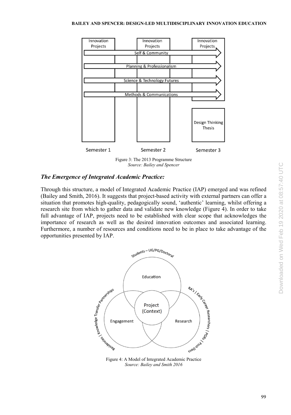

Figure 3: The 2013 Programme Structure *Source: Bailey and Spencer*

# *The Emergence of Integrated Academic Practice:*

Through this structure, a model of Integrated Academic Practice (IAP) emerged and was refined (Bailey and Smith, 2016). It suggests that project-based activity with external partners can offer a situation that promotes high-quality, pedagogically sound, 'authentic' learning, whilst offering a research site from which to gather data and validate new knowledge (Figure 4). In order to take full advantage of IAP, projects need to be established with clear scope that acknowledges the importance of research as well as the desired innovation outcomes and associated learning. Furthermore, a number of resources and conditions need to be in place to take advantage of the opportunities presented by IAP.



Figure 4: A Model of Integrated Academic Practice *Source: Bailey and Smith 2016*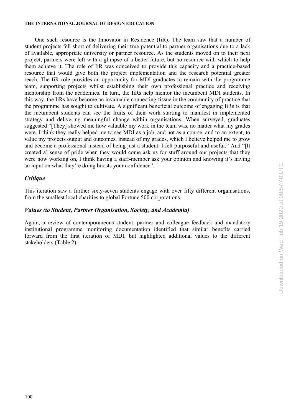One such resource is the Innovator in Residence (IiR). The team saw that a number of student projects fell short of delivering their true potential to partner organisations due to a lack of available, appropriate university or partner resource. As the students moved on to their next project, partners were left with a glimpse of a better future, but no resource with which to help them achieve it. The role of IiR was conceived to provide this capacity and a practice-based resource that would give both the project implementation and the research potential greater reach. The IiR role provides an opportunity for MDI graduates to remain with the programme team, supporting projects whilst establishing their own professional practice and receiving mentorship from the academics. In turn, the IiRs help mentor the incumbent MDI students. In this way, the IiRs have become an invaluable connecting-tissue in the community of practice that the programme has sought to cultivate. A significant beneficial outcome of engaging IiRs is that the incumbent students can see the fruits of their work starting to manifest in implemented strategy and delivering meaningful change within organisations. When surveyed, graduates suggested "[They] showed me how valuable my work in the team was, no matter what my grades were. I think they really helped me to see MDI as a job, and not as a course, and to an extent, to value my projects output and outcomes, instead of my grades, which I believe helped me to grow and become a professional instead of being just a student. I felt purposeful and useful." And "[It created a] sense of pride when they would come ask us for stuff around our projects that they were now working on, I think having a staff-member ask your opinion and knowing it's having an input on what they're doing boosts your confidence".

#### *Critique*

This iteration saw a further sixty-seven students engage with over fifty different organisations, from the smallest local charities to global Fortune 500 corporations.

### *Values (to Student, Partner Organisation, Society, and Academia)*

Again, a review of contemporaneous student, partner and colleague feedback and mandatory institutional programme monitoring documentation identified that similar benefits carried forward from the first iteration of MDI, but highlighted additional values to the different stakeholders (Table 2).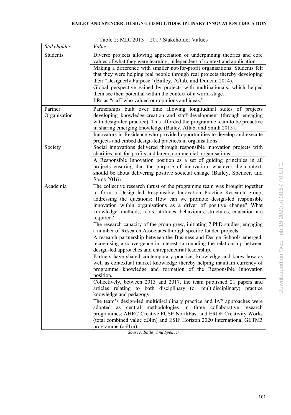| Stakeholder             | Value                                                                                                                                                                                                                                                                                                                                                                                        |
|-------------------------|----------------------------------------------------------------------------------------------------------------------------------------------------------------------------------------------------------------------------------------------------------------------------------------------------------------------------------------------------------------------------------------------|
| <b>Students</b>         | Diverse projects allowing appreciation of underpinning theories and core<br>values of what they were learning, independent of context and application.<br>Making a difference with smaller not-for-profit organisations. Students felt<br>that they were helping real people through real projects thereby developing                                                                        |
|                         | their "Designerly Purpose" (Bailey, Aftab, and Duncan 2014).<br>Global perspective gained by projects with multinationals, which helped<br>them see their potential within the context of a world-stage.                                                                                                                                                                                     |
|                         | IiRs as "staff who valued our opinions and ideas."                                                                                                                                                                                                                                                                                                                                           |
| Partner<br>Organisation | Partnerships built over time allowing longitudinal suites of projects<br>developing knowledge-creation and staff-development (through engaging<br>with design-led practice). This afforded the programme team to be proactive<br>in sharing emerging knowledge (Bailey, Aftab, and Smith 2015).                                                                                              |
|                         | Innovators in Residence who provided opportunities to develop and execute<br>projects and embed design-led practices in organisations.                                                                                                                                                                                                                                                       |
| Society                 | Social innovations delivered through responsible innovation projects with<br>charities, not-for-profits and larger, commercial, organisations.                                                                                                                                                                                                                                               |
|                         | A Responsible Innovation position as a set of guiding principles in all<br>projects ensuring that the purpose of innovation, whatever the context,<br>should be about delivering positive societal change (Bailey, Spencer, and<br>Sams 2016).                                                                                                                                               |
| Academia                | The collective research thrust of the programme team was brought together<br>to form a Design-led Responsible Innovation Practice Research group,<br>addressing the questions: How can we promote design-led responsible<br>innovation within organisations as a driver of positive change? What<br>knowledge, methods, tools, attitudes, behaviours, structures, education are<br>required? |
|                         | The research capacity of the group grew, initiating 7 PhD studies, engaging<br>a number of Research Associates through specific funded projects.                                                                                                                                                                                                                                             |
|                         | A research partnership between the Business and Design Schools emerged,<br>recognising a convergence in interest surrounding the relationship between<br>design-led approaches and entrepreneurial leadership.                                                                                                                                                                               |
|                         | Partners have shared contemporary practice, knowledge and know-how as<br>well as contextual market knowledge thereby helping maintain currency of<br>programme knowledge and formation of the Responsible Innovation<br>position.                                                                                                                                                            |
|                         | Collectively, between 2013 and 2017, the team published 21 papers and<br>articles relating to both disciplinary (or multidisciplinary) practice<br>knowledge and pedagogy.                                                                                                                                                                                                                   |
|                         | The team's design-led multidisciplinary practice and IAP approaches were<br>adopted as central methodologies in three collaborative research<br>programmes: AHRC Creative FUSE NorthEast and ERDF Creativity Works<br>(total combined value c£4m) and ESIF Horizon 2020 International GETM3<br>programme (c $\in$ 1m).                                                                       |

Table 2: MDI 2013 – 2017 Stakeholder Values

*Source: Bailey and Spencer*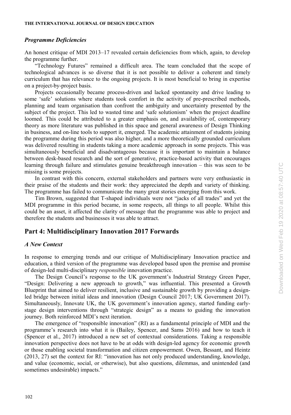#### *Programme Deficiencies*

An honest critique of MDI 2013–17 revealed certain deficiencies from which, again, to develop the programme further.

"Technology Futures" remained a difficult area. The team concluded that the scope of technological advances is so diverse that it is not possible to deliver a coherent and timely curriculum that has relevance to the ongoing projects. It is most beneficial to bring in expertise on a project-by-project basis.

Projects occasionally became process-driven and lacked spontaneity and drive leading to some 'safe' solutions where students took comfort in the activity of pre-prescribed methods, planning and team organisation than confront the ambiguity and uncertainty presented by the subject of the project. This led to wasted time and 'safe solutionism' when the project deadline loomed. This could be attributed to a greater emphasis on, and availability of, contemporary theory as more literature was published in this space and general awareness of Design Thinking in business, and on-line tools to support it, emerged. The academic attainment of students joining the programme during this period was also higher, and a more theoretically grounded curriculum was delivered resulting in students taking a more academic approach in some projects. This was simultaneously beneficial and disadvantageous because it is important to maintain a balance between desk-based research and the sort of generative, practice-based activity that encourages learning through failure and stimulates genuine breakthrough innovation – this was seen to be missing is some projects.

In contrast with this concern, external stakeholders and partners were very enthusiastic in their praise of the students and their work: they appreciated the depth and variety of thinking. The programme has failed to communicate the many great stories emerging from this work.

Tim Brown, suggested that T-shaped individuals were not "jacks of all trades" and yet the MDI programme in this period became, in some respects, all things to all people. Whilst this could be an asset, it affected the clarity of message that the programme was able to project and therefore the students and businesses it was able to attract.

# **Part 4: Multidisciplinary Innovation 2017 Forwards**

### *A New Context*

In response to emerging trends and our critique of Multidisciplinary Innovation practice and education, a third version of the programme was developed based upon the premise and promise of design-led multi-disciplinary *responsible* innovation practice.

The Design Council's response to the UK government's Industrial Strategy Green Paper, "Design: Delivering a new approach to growth," was influential. This presented a Growth Blueprint that aimed to deliver resilient, inclusive and sustainable growth by providing a designled bridge between initial ideas and innovation (Design Council 2017; UK Government 2017). Simultaneously, Innovate UK, the UK government's innovation agency, started funding earlystage design interventions through "strategic design" as a means to guiding the innovation journey. Both reinforced MDI's next iteration.

The emergence of "responsible innovation" (RI) as a fundamental principle of MDI and the programme's research into what it is (Bailey, Spencer, and Sams 2016) and how to teach it (Spencer et al., 2017) introduced a new set of contextual considerations. Taking a responsible innovation perspective does not have to be at odds with design-led agency for economic growth or those enabling societal transformation and citizen empowerment. Owen, Bessant, and Heintz (2013, 27) set the context for RI: "innovation has not only produced understanding, knowledge, and value (economic, social, or otherwise), but also questions, dilemmas, and unintended (and sometimes undesirable) impacts."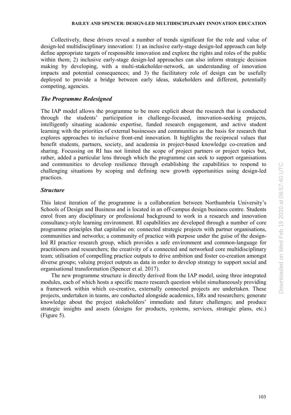Collectively, these drivers reveal a number of trends significant for the role and value of design-led multidisciplinary innovation: 1) an inclusive early-stage design-led approach can help define appropriate targets of responsible innovation and explore the rights and roles of the public within them; 2) inclusive early-stage design-led approaches can also inform strategic decision making by developing, with a multi-stakeholder-network, an understanding of innovation impacts and potential consequences; and 3) the facilitatory role of design can be usefully deployed to provide a bridge between early ideas, stakeholders and different, potentially competing, agencies.

# *The Programme Redesigned*

The IAP model allows the programme to be more explicit about the research that is conducted through the students' participation in challenge-focused, innovation-seeking projects, intelligently situating academic expertise, funded research engagement, and active student learning with the priorities of external businesses and communities as the basis for research that explores approaches to inclusive front-end innovation. It highlights the reciprocal values that benefit students, partners, society, and academia in project-based knowledge co-creation and sharing. Focussing on RI has not limited the scope of project partners or project topics but, rather, added a particular lens through which the programme can seek to support organisations and communities to develop resilience through establishing the capabilities to respond to challenging situations by scoping and defining new growth opportunities using design-led practices.

# *Structure*

This latest iteration of the programme is a collaboration between Northumbria University's Schools of Design and Business and is located in an off-campus design business centre. Students enrol from any disciplinary or professional background to work in a research and innovation consultancy-style learning environment. RI capabilities are developed through a number of core programme principles that capitalise on: connected strategic projects with partner organisations, communities and networks; a community of practice with purpose under the guise of the designled RI practice research group, which provides a safe environment and common-language for practitioners and researchers; the creativity of a connected and networked core multidisciplinary team; utilisation of compelling practice outputs to drive ambition and foster co-creation amongst diverse groups; valuing project outputs as data in order to develop strategy to support social and organisational transformation (Spencer et al. 2017).

The new programme structure is directly derived from the IAP model, using three integrated modules, each of which hosts a specific macro research question whilst simultaneously providing a framework within which co-creative, externally connected projects are undertaken. These projects, undertaken in teams, are conducted alongside academics, IiRs and researchers; generate knowledge about the project stakeholders' immediate and future challenges; and produce strategic insights and assets (designs for products, systems, services, strategic plans, etc.) (Figure 5).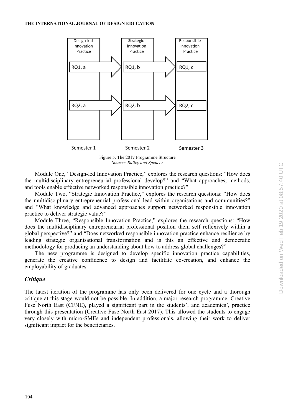

*Source: Bailey and Spencer*

Module One, "Design-led Innovation Practice," explores the research questions: "How does the multidisciplinary entrepreneurial professional develop?" and "What approaches, methods, and tools enable effective networked responsible innovation practice?"

Module Two, "Strategic Innovation Practice," explores the research questions: "How does the multidisciplinary entrepreneurial professional lead within organisations and communities?" and "What knowledge and advanced approaches support networked responsible innovation practice to deliver strategic value?"

Module Three, "Responsible Innovation Practice," explores the research questions: "How does the multidisciplinary entrepreneurial professional position them self reflexively within a global perspective?" and "Does networked responsible innovation practice enhance resilience by leading strategic organisational transformation and is this an effective and democratic methodology for producing an understanding about how to address global challenges?"

The new programme is designed to develop specific innovation practice capabilities, generate the creative confidence to design and facilitate co-creation, and enhance the employability of graduates.

# *Critique*

The latest iteration of the programme has only been delivered for one cycle and a thorough critique at this stage would not be possible. In addition, a major research programme, Creative Fuse North East (CFNE), played a significant part in the students', and academics', practice through this presentation (Creative Fuse North East 2017). This allowed the students to engage very closely with micro-SMEs and independent professionals, allowing their work to deliver significant impact for the beneficiaries.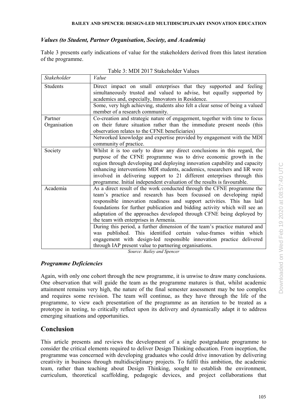# *Values (to Student, Partner Organisation, Society, and Academia)*

Table 3 presents early indications of value for the stakeholders derived from this latest iteration of the programme.

| Stakeholder  | Value                                                                                                                                                                                                                                                                                                                                                                                                                                                           |
|--------------|-----------------------------------------------------------------------------------------------------------------------------------------------------------------------------------------------------------------------------------------------------------------------------------------------------------------------------------------------------------------------------------------------------------------------------------------------------------------|
| Students     | Direct impact on small enterprises that they supported and feeling<br>simultaneously trusted and valued to advise, but equally supported by<br>academics and, especially, Innovators in Residence.                                                                                                                                                                                                                                                              |
|              | Some, very high achieving, students also felt a clear sense of being a valued<br>member of a research community.                                                                                                                                                                                                                                                                                                                                                |
| Partner      | Co-creation and strategic nature of engagement, together with time to focus                                                                                                                                                                                                                                                                                                                                                                                     |
| Organisation | on their future situation rather than the immediate present needs (this<br>observation relates to the CFNE beneficiaries)                                                                                                                                                                                                                                                                                                                                       |
|              | Networked knowledge and expertise provided by engagement with the MDI<br>community of practice.                                                                                                                                                                                                                                                                                                                                                                 |
| Society      | Whilst it is too early to draw any direct conclusions in this regard, the<br>purpose of the CFNE programme was to drive economic growth in the<br>region through developing and deploying innovation capability and capacity<br>enhancing interventions MDI students, academics, researchers and IiR were<br>involved in delivering support to 21 different enterprises through this<br>programme. Initial independent evaluation of the results is favourable. |
| Academia     | As a direct result of the work conducted through the CFNE programme the<br>team's practice and research has been focussed on developing rapid<br>responsible innovation readiness and support activities. This has laid<br>foundations for further publication and bidding activity which will see an<br>adaptation of the approaches developed through CFNE being deployed by<br>the team with enterprises in Armenia.                                         |
|              | During this period, a further dimension of the team's practice matured and<br>was published. This identified certain value-frames within which<br>engagement with design-led responsible innovation practice delivered<br>through IAP present value to partnering organisations.                                                                                                                                                                                |

Table 3: MDI 2017 Stakeholder Values

*Source: Bailey and Spencer*

# *Programme Deficiencies*

Again, with only one cohort through the new programme, it is unwise to draw many conclusions. One observation that will guide the team as the programme matures is that, whilst academic attainment remains very high, the nature of the final semester assessment may be too complex and requires some revision. The team will continue, as they have through the life of the programme, to view each presentation of the programme as an iteration to be treated as a prototype in testing, to critically reflect upon its delivery and dynamically adapt it to address emerging situations and opportunities.

# **Conclusion**

This article presents and reviews the development of a single postgraduate programme to consider the critical elements required to deliver Design Thinking education. From inception, the programme was concerned with developing graduates who could drive innovation by delivering creativity in business through multidisciplinary projects. To fulfil this ambition, the academic team, rather than teaching about Design Thinking, sought to establish the environment, curriculum, theoretical scaffolding, pedagogic devices, and project collaborations that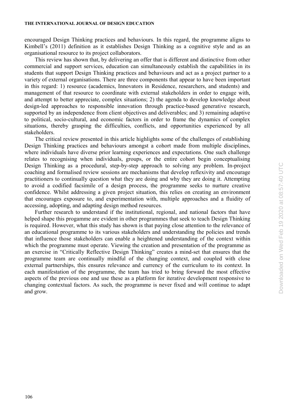encouraged Design Thinking practices and behaviours. In this regard, the programme aligns to Kimbell's (2011) definition as it establishes Design Thinking as a cognitive style and as an organisational resource to its project collaborators.

This review has shown that, by delivering an offer that is different and distinctive from other commercial and support services, education can simultaneously establish the capabilities in its students that support Design Thinking practices and behaviours and act as a project partner to a variety of external organisations. There are three components that appear to have been important in this regard: 1) resource (academics, Innovators in Residence, researchers, and students) and management of that resource to coordinate with external stakeholders in order to engage with, and attempt to better appreciate, complex situations; 2) the agenda to develop knowledge about design-led approaches to responsible innovation through practice-based generative research, supported by an independence from client objectives and deliverables; and 3) remaining adaptive to political, socio-cultural, and economic factors in order to frame the dynamics of complex situations, thereby grasping the difficulties, conflicts, and opportunities experienced by all stakeholders.

The critical review presented in this article highlights some of the challenges of establishing Design Thinking practices and behaviours amongst a cohort made from multiple disciplines, where individuals have diverse prior learning experiences and expectations. One such challenge relates to recognising when individuals, groups, or the entire cohort begin conceptualising Design Thinking as a procedural, step-by-step approach to solving any problem. In-project coaching and formalised review sessions are mechanisms that develop reflexivity and encourage practitioners to continually question what they are doing and why they are doing it. Attempting to avoid a codified facsimile of a design process, the programme seeks to nurture creative confidence. Whilst addressing a given project situation, this relies on creating an environment that encourages exposure to, and experimentation with, multiple approaches and a fluidity of accessing, adopting, and adapting design method resources.

Further research to understand if the institutional, regional, and national factors that have helped shape this progamme are evident in other programmes that seek to teach Design Thinking is required. However, what this study has shown is that paying close attention to the relevance of an educational programme to its various stakeholders and understanding the policies and trends that influence those stakeholders can enable a heightened understanding of the context within which the programme must operate. Viewing the creation and presentation of the programme as an exercise in "Critically Reflective Design Thinking" creates a mind-set that ensures that the programme team are continually mindful of the changing context, and coupled with close external partnerships, this ensures relevance and currency of the curriculum to its context. In each manifestation of the programme, the team has tried to bring forward the most effective aspects of the previous one and use these as a platform for iterative development responsive to changing contextual factors. As such, the programme is never fixed and will continue to adapt and grow.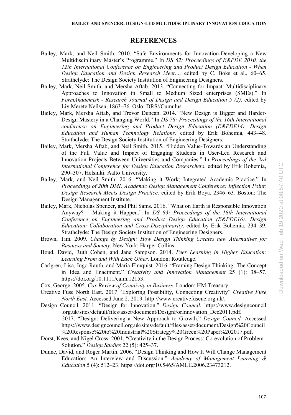# **REFERENCES**

- Bailey, Mark, and Neil Smith. 2010. "Safe Environments for Innovation-Developing a New Multidisciplinary Master's Programme." In *DS 62: Proceedings of E&PDE 2010, the 12th International Conference on Engineering and Product Design Education - When Design Education and Design Research Meet…,* edited by C. Boks et al., 60–65. Strathclyde: The Design Society Institution of Engineering Designers.
- Bailey, Mark, Neil Smith, and Mersha Aftab. 2013. "Connecting for Impact: Multidisciplinary Approaches to Innovation in Small to Medium Sized enterprises (SMEs)." In *FormAkademisk - Research Journal of Design and Design Education 5 (2),* edited by Liv Merete Neilsen, 1863–76. Oslo: DRS//Cumulus.
- Bailey, Mark, Mersha Aftab, and Trevor Duncan. 2014. "New Design is Bigger and Harder-Design Mastery in a Changing World." In *DS 78: Proceedings of the 16th International conference on Engineering and Product Design Education (E&PDE14), Design Education and Human Technology Relations,* edited by Erik Bohemia, 443–48. Strathclyde: The Design Society Institution of Engineering Designers.
- Bailey, Mark, Mersha Aftab, and Neil Smith. 2015. "Hidden Value-Towards an Understanding of the Full Value and Impact of Engaging Students in User-Led Research and Innovation Projects Between Universities and Companies." In *Proceedings of the 3rd International Conference for Design Education Researchers*, edited by Erik Bohemia, 290–307. Helsinki: Aalto University.
- Bailey, Mark, and Neil Smith. 2016. "Making it Work; Integrated Academic Practice." In *Proceedings of 20th DMI: Academic Design Management Conference; Inflection Point: Design Research Meets Design Practice,* edited by Erik Boya, 2346–63*.* Boston: The Design Management Institute.
- Bailey, Mark, Nicholas Spencer, and Phil Sams. 2016. "What on Earth is Responsible Innovation Anyway? – Making it Happen." In *DS 83: Proceedings of the 18th International Conference on Engineering and Product Design Education (E&PDE16), Design Education: Collaboration and Cross-Disciplinarity,* edited by Erik Bohemia, 234–39. Strathclyde: The Design Society Institution of Engineering Designers.
- Brown, Tim. 2009. *Change by Design: How Design Thinking Creates new Alternatives for Business and Society*. New York: Harper Collins.
- Boud, David, Ruth Cohen, and Jane Sampson. 2014. *Peer Learning in Higher Education: Learning From and With Each Other*. London: Routledge.
- Carlgren, Lisa, Ingo Rauth, and Maria Elmquist. 2016. "Framing Design Thinking: The Concept in Idea and Enactment." *Creativity and Innovation Management* 25 (1): 38–57. https://doi.org/10.1111/caim.12153.
- Cox, George. 2005. *Cox Review of Creativity in Business.* London: HM Treasury.
- Creative Fuse North East. 2017 "Exploring Possibility, Connecting Creativity" *Creative Fuse North East.* Accessed June 2, 2019. http://www.creativefusene.org.uk/.
- Design Council. 2011. "Design for Innovation." *Design Council.* https://www.designcouncil .org.uk/sites/default/files/asset/document/DesignForInnovation\_Dec2011.pdf.
- ———. 2017. "Design: Delivering a New Approach to Growth." *Design Council.* Accessed https://www.designcouncil.org.uk/sites/default/files/asset/document/Design%20Council %20Response%20to%20Industrial%20Strategy%20Green%20Paper%202017.pdf.
- Dorst, Kees, and Nigel Cross. 2001. "Creativity in the Design Process: Co-evolution of Problem– Solution." *Design Studies* 22 (5): 425–37.
- Dunne, David, and Roger Martin. 2006. "Design Thinking and How It Will Change Management Education: An Interview and Discussion." *Academy of Management Learning & Education* 5 (4): 512–23. https://doi.org/10.5465/AMLE.2006.23473212.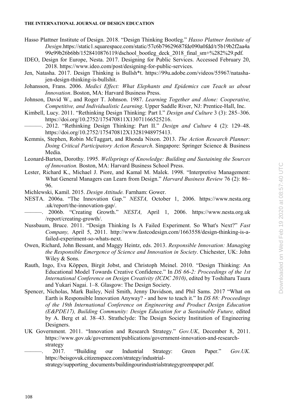- Hasso Plattner Institute of Design. 2018. "Design Thinking Bootleg." *Hasso Plattner Institute of Design*.https://static1.squarespace.com/static/57c6b79629687fde090a0fdd/t/5b19b2f2aa4a 99e99b26b6bb/1528410876119/dschool\_bootleg\_deck\_2018\_final\_sm+%282%29.pdf.
- IDEO, Design for Europe, Nesta. 2017. Designing for Public Services. Accessed February 20, 2018. https://www.ideo.com/post/designing-for-public-services.
- Jen, Natasha. 2017. Design Thinking is Bullsh\*t. https://99u.adobe.com/videos/55967/natashajen-design-thinking-is-bullshit.
- Johansson, Frans. 2006. *Medici Effect: What Elephants and Epidemics can Teach us about Innovation*. Boston, MA: Harvard Business Press.
- Johnson, David W., and Roger T. Johnson. 1987. *Learning Together and Alone: Cooperative, Competitive, and Individualistic Learning*. Upper Saddle River, NJ: Prentice-Hall, Inc.
- Kimbell, Lucy. 2011. "Rethinking Design Thinking: Part I." *Design and Culture* 3 (3): 285–306. https://doi.org/10.2752/175470811X13071166525216.
- ———. 2012. "Rethinking Design Thinking: Part II." *Design and Culture* 4 (2): 129–48. https://doi.org/10.2752/175470812X13281948975413.
- Kemmis, Stephen, Robin McTaggart, and Rhonda Nixon. 2013. *The Action Research Planner: Doing Critical Participatory Action Research*. Singapore: Springer Science & Business Media.
- Leonard-Barton, Dorothy. 1995. *Wellsprings of Knowledge: Building and Sustaining the Sources of Innovation.* Boston, MA: Harvard Business School Press.
- Lester, Richard K., Michael J. Piore, and Kamal M. Malek. 1998. "Interpretive Management: What General Managers can Learn from Design." *Harvard Business Review* 76 (2): 86– 96.

Michlewski, Kamil. 2015. *Design Attitude.* Farnham: Gower.

- NESTA. 2006a. "The Innovation Gap." *NESTA,* October 1, 2006. https://www.nesta.org .uk/report/the-innovation-gap/.
- ———. 2006b. "Creating Growth." *NESTA,* April 1, 2006. https://www.nesta.org.uk /report/creating-growth/.
- Nussbaum, Bruce. 2011. "Design Thinking Is A Failed Experiment. So What's Next?" *Fast Company,* April 5, 2011. http://www.fastcodesign.com/1663558/design-thinking-is-afailed-experiment-so-whats-next.
- Owen, Richard, John Bessant, and Maggy Heintz, eds. 2013. *Responsible Innovation: Managing the Responsible Emergence of Science and Innovation in Society*. Chichester, UK: John Wiley & Sons.
- Rauth, Ingo, Eva Köppen, Birgit Jobst, and Christoph Meinel. 2010. "Design Thinking: An Educational Model Towards Creative Confidence." In *DS 66-2: Proceedings of the 1st International Conference on Design Creativity (ICDC 2010)*, edited by Toshiharu Taura and Yukari Nagai. 1–8. Glasgow: The Design Society.
- Spencer, Nicholas, Mark Bailey, Neil Smith, Jenny Davidson, and Phil Sams. 2017 "What on Earth is Responsible Innovation Anyway? - and how to teach it." In *DS 88: Proceedings of the 19th International Conference on Engineering and Product Design Education (E&PDE17), Building Community: Design Education for a Sustainable Future,* edited by A. Berg et al. 38–43. Strathclyde: The Design Society Institution of Engineering Designers.
- UK Government. 2011. "Innovation and Research Strategy." *Gov.UK*, December 8, 2011. https://www.gov.uk/government/publications/government-innovation-and-researchstrategy
- ———. 2017. "Building our Industrial Strategy: Green Paper." *Gov.UK.*  https://beisgovuk.citizenspace.com/strategy/industrial-

strategy/supporting\_documents/buildingourindustrialstrategygreenpaper.pdf.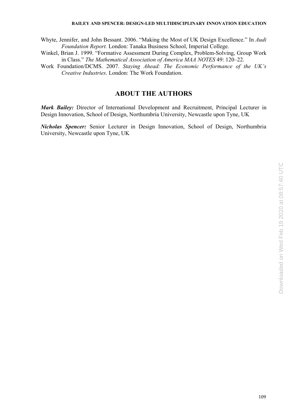#### **BAILEY AND SPENCER: DESIGN-LED MULTIDISCIPLINARY INNOVATION EDUCATION**

Whyte, Jennifer, and John Bessant. 2006. "Making the Most of UK Design Excellence." In *Audi Foundation Report.* London: Tanaka Business School, Imperial College.

Winkel, Brian J. 1999. "Formative Assessment During Complex, Problem-Solving, Group Work in Class." *The Mathematical Association of America MAA NOTES* 49: 120–22.

Work Foundation/DCMS. 2007. *Staying Ahead: The Economic Performance of the UK's Creative Industries*. London: The Work Foundation.

# **ABOUT THE AUTHORS**

*Mark Bailey:* Director of International Development and Recruitment, Principal Lecturer in Design Innovation, School of Design, Northumbria University, Newcastle upon Tyne, UK

*Nicholas Spencer:* Senior Lecturer in Design Innovation, School of Design, Northumbria University, Newcastle upon Tyne, UK